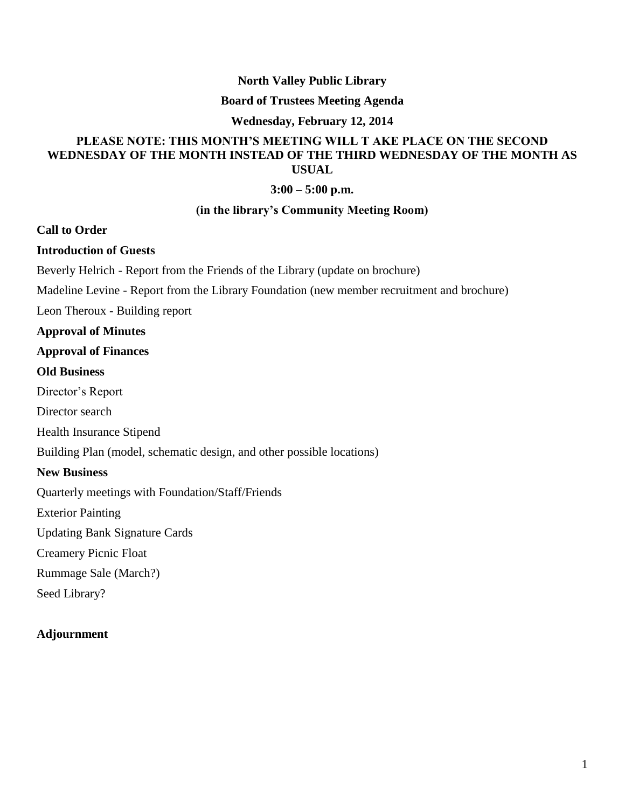## **North Valley Public Library**

### **Board of Trustees Meeting Agenda**

#### **Wednesday, February 12, 2014**

# **PLEASE NOTE: THIS MONTH'S MEETING WILL T AKE PLACE ON THE SECOND WEDNESDAY OF THE MONTH INSTEAD OF THE THIRD WEDNESDAY OF THE MONTH AS USUAL**

#### **3:00 – 5:00 p.m.**

#### **(in the library's Community Meeting Room)**

**Call to Order**

**Introduction of Guests**

Beverly Helrich - Report from the Friends of the Library (update on brochure)

Madeline Levine - Report from the Library Foundation (new member recruitment and brochure)

Leon Theroux - Building report

#### **Approval of Minutes**

### **Approval of Finances**

## **Old Business**

Director's Report

Director search

Health Insurance Stipend

Building Plan (model, schematic design, and other possible locations)

## **New Business**

Quarterly meetings with Foundation/Staff/Friends

Exterior Painting

Updating Bank Signature Cards

Creamery Picnic Float

Rummage Sale (March?)

Seed Library?

## **Adjournment**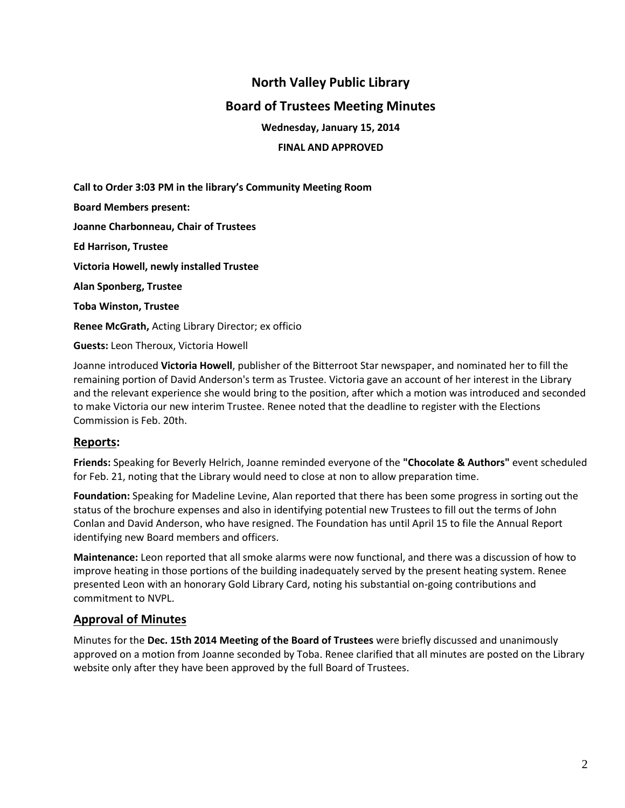# **North Valley Public Library**

# **Board of Trustees Meeting Minutes**

**Wednesday, January 15, 2014**

**FINAL AND APPROVED**

**Call to Order 3:03 PM in the library's Community Meeting Room Board Members present: Joanne Charbonneau, Chair of Trustees Ed Harrison, Trustee Victoria Howell, newly installed Trustee Alan Sponberg, Trustee Toba Winston, Trustee Renee McGrath,** Acting Library Director; ex officio **Guests:** Leon Theroux, Victoria Howell

Joanne introduced **Victoria Howell**, publisher of the Bitterroot Star newspaper, and nominated her to fill the remaining portion of David Anderson's term as Trustee. Victoria gave an account of her interest in the Library and the relevant experience she would bring to the position, after which a motion was introduced and seconded to make Victoria our new interim Trustee. Renee noted that the deadline to register with the Elections Commission is Feb. 20th.

# **Reports:**

**Friends:** Speaking for Beverly Helrich, Joanne reminded everyone of the **"Chocolate & Authors"** event scheduled for Feb. 21, noting that the Library would need to close at non to allow preparation time.

**Foundation:** Speaking for Madeline Levine, Alan reported that there has been some progress in sorting out the status of the brochure expenses and also in identifying potential new Trustees to fill out the terms of John Conlan and David Anderson, who have resigned. The Foundation has until April 15 to file the Annual Report identifying new Board members and officers.

**Maintenance:** Leon reported that all smoke alarms were now functional, and there was a discussion of how to improve heating in those portions of the building inadequately served by the present heating system. Renee presented Leon with an honorary Gold Library Card, noting his substantial on-going contributions and commitment to NVPL.

## **Approval of Minutes**

Minutes for the **Dec. 15th 2014 Meeting of the Board of Trustees** were briefly discussed and unanimously approved on a motion from Joanne seconded by Toba. Renee clarified that all minutes are posted on the Library website only after they have been approved by the full Board of Trustees.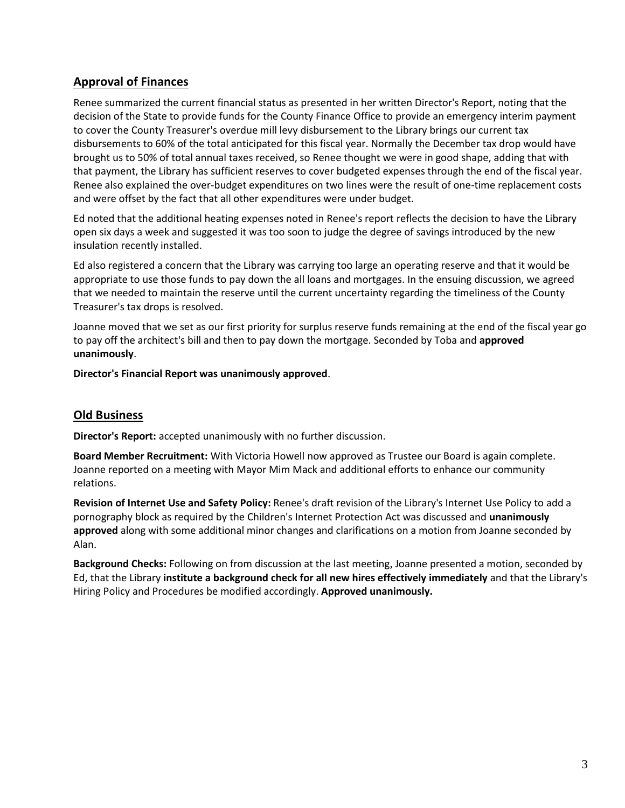# **Approval of Finances**

Renee summarized the current financial status as presented in her written Director's Report, noting that the decision of the State to provide funds for the County Finance Office to provide an emergency interim payment to cover the County Treasurer's overdue mill levy disbursement to the Library brings our current tax disbursements to 60% of the total anticipated for this fiscal year. Normally the December tax drop would have brought us to 50% of total annual taxes received, so Renee thought we were in good shape, adding that with that payment, the Library has sufficient reserves to cover budgeted expenses through the end of the fiscal year. Renee also explained the over-budget expenditures on two lines were the result of one-time replacement costs and were offset by the fact that all other expenditures were under budget.

Ed noted that the additional heating expenses noted in Renee's report reflects the decision to have the Library open six days a week and suggested it was too soon to judge the degree of savings introduced by the new insulation recently installed.

Ed also registered a concern that the Library was carrying too large an operating reserve and that it would be appropriate to use those funds to pay down the all loans and mortgages. In the ensuing discussion, we agreed that we needed to maintain the reserve until the current uncertainty regarding the timeliness of the County Treasurer's tax drops is resolved.

Joanne moved that we set as our first priority for surplus reserve funds remaining at the end of the fiscal year go to pay off the architect's bill and then to pay down the mortgage. Seconded by Toba and **approved unanimously**.

**Director's Financial Report was unanimously approved**.

# **Old Business**

**Director's Report:** accepted unanimously with no further discussion.

**Board Member Recruitment:** With Victoria Howell now approved as Trustee our Board is again complete. Joanne reported on a meeting with Mayor Mim Mack and additional efforts to enhance our community relations.

**Revision of Internet Use and Safety Policy:** Renee's draft revision of the Library's Internet Use Policy to add a pornography block as required by the Children's Internet Protection Act was discussed and **unanimously approved** along with some additional minor changes and clarifications on a motion from Joanne seconded by Alan.

**Background Checks:** Following on from discussion at the last meeting, Joanne presented a motion, seconded by Ed, that the Library **institute a background check for all new hires effectively immediately** and that the Library's Hiring Policy and Procedures be modified accordingly. **Approved unanimously.**